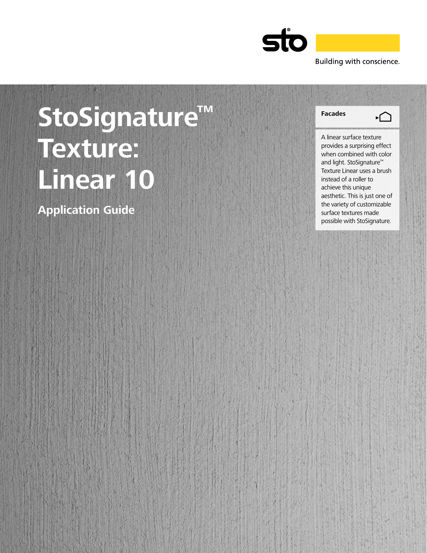

# StoSignature<sup>™</sup> Facades **Texture: Linear 10**

**Application Guide**



A linear surface texture provides a surprising effect when combined with color and light. StoSignature™ Texture Linear uses a brush instead of a roller to achieve this unique aesthetic. This is just one of the variety of customizable surface textures made possible with StoSignature.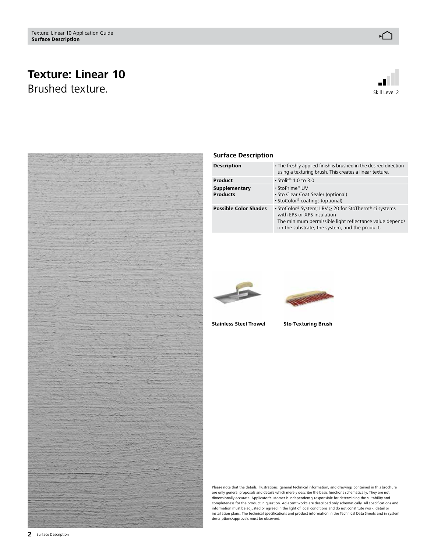## **Texture: Linear 10** Brushed texture. The state of the state of the state of the state of the state of the state of the state of the state of the state of the state of the state of the state of the state of the state of the state of the state





#### **Surface Description**

| <b>Description</b>               | • The freshly applied finish is brushed in the desired direction<br>using a texturing brush. This creates a linear texture.                                                                      |
|----------------------------------|--------------------------------------------------------------------------------------------------------------------------------------------------------------------------------------------------|
| Product                          | $\cdot$ Stolit <sup>®</sup> 1.0 to 3.0                                                                                                                                                           |
| Supplementary<br><b>Products</b> | • StoPrime® UV<br>• Sto Clear Coat Sealer (optional)<br>• StoColor <sup>®</sup> coatings (optional)                                                                                              |
| <b>Possible Color Shades</b>     | • StoColor® System; LRV ≥ 20 for StoTherm® ci systems<br>with EPS or XPS insulation<br>The minimum permissible light reflectance value depends<br>on the substrate, the system, and the product. |





**Stainless Steel Trowel Sto-Texturing Brush**

Please note that the details, illustrations, general technical information, and drawings contained in this brochure<br>are only general proposals and details which merely describe the basic functions schematically. They are n dimensionally accurate. Applicator/customer is independently responsible for determining the suitability and completeness for the product in question. Adjacent works are described only schematically. All specifications and information must be adjusted or agreed in the light of local conditions and do not constitute work, detail or installation plans. The technical specifications and product information in the Technical Data Sheets and in system descriptions/approvals must be observed.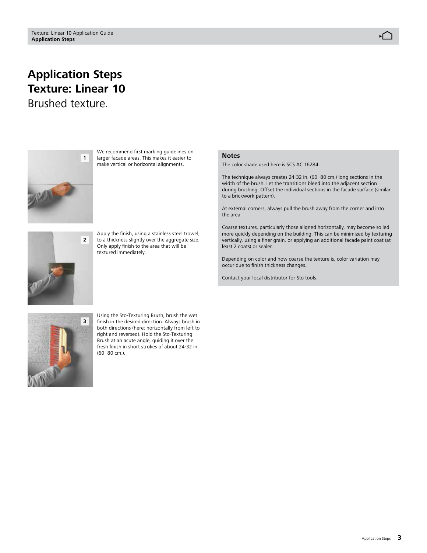# **Application Steps Texture: Linear 10**

Brushed texture.



We recommend first marking guidelines on larger facade areas. This makes it easier to make vertical or horizontal alignments.



Apply the finish, using a stainless steel trowel, to a thickness slightly over the aggregate size. Only apply finish to the area that will be textured immediately.

#### **Notes**

The color shade used here is SCS AC 16284.

The technique always creates 24-32 in. (60–80 cm.) long sections in the width of the brush. Let the transitions bleed into the adjacent section during brushing. Offset the individual sections in the facade surface (similar to a brickwork pattern).

At external corners, always pull the brush away from the corner and into the area.

Coarse textures, particularly those aligned horizontally, may become soiled more quickly depending on the building. This can be minimized by texturing vertically, using a finer grain, or applying an additional facade paint coat (at least 2 coats) or sealer.

Depending on color and how coarse the texture is, color variation may occur due to finish thickness changes.

Contact your local distributor for Sto tools.



Using the Sto-Texturing Brush, brush the wet finish in the desired direction. Always brush in both directions (here: horizontally from left to right and reversed). Hold the Sto-Texturing Brush at an acute angle, guiding it over the fresh finish in short strokes of about 24-32 in. (60–80 cm.).